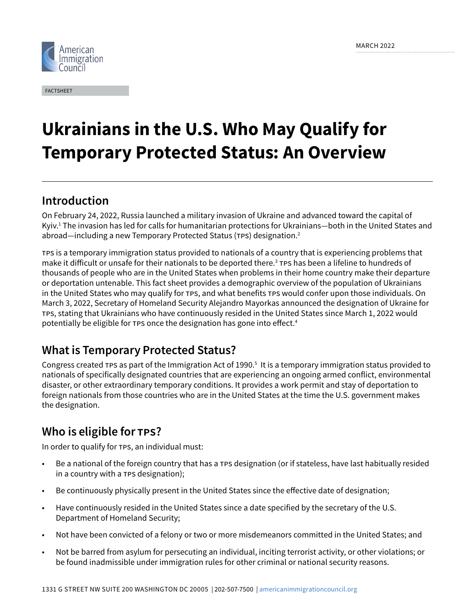

FACTSHEET

# **Ukrainians in the U.S. Who May Qualify for Temporary Protected Status: An Overview**

# Introduction

On February 24, 2022, Russia launched a military invasion of Ukraine and advanced toward the capital of Kyiv.1 The invasion has led for calls for humanitarian protections for Ukrainians—both in the United States and abroad—including a new Temporary Protected Status (TPS) designation.<sup>2</sup>

TPS is a temporary immigration status provided to nationals of a country that is experiencing problems that make it difficult or unsafe for their nationals to be deported there.<sup>3</sup> TPS has been a lifeline to hundreds of thousands of people who are in the United States when problems in their home country make their departure or deportation untenable. This fact sheet provides a demographic overview of the population of Ukrainians in the United States who may qualify for TPS, and what benefits TPS would confer upon those individuals. On March 3, 2022, Secretary of Homeland Security Alejandro Mayorkas announced the designation of Ukraine for TPS, stating that Ukrainians who have continuously resided in the United States since March 1, 2022 would potentially be eligible for TPS once the designation has gone into effect.<sup>4</sup>

## What is Temporary Protected Status?

Congress created  $\tau$ Ps as part of the Immigration Act of 1990. $^5$  It is a temporary immigration status provided to nationals of specifically designated countries that are experiencing an ongoing armed conflict, environmental disaster, or other extraordinary temporary conditions. It provides a work permit and stay of deportation to foreign nationals from those countries who are in the United States at the time the U.S. government makes the designation.

# Who is eligible for TPS?

In order to qualify for TPS, an individual must:

- Be a national of the foreign country that has a TPS designation (or if stateless, have last habitually resided in a country with a TPS designation);
- Be continuously physically present in the United States since the effective date of designation;
- Have continuously resided in the United States since a date specified by the secretary of the U.S. Department of Homeland Security;
- Not have been convicted of a felony or two or more misdemeanors committed in the United States; and
- Not be barred from asylum for persecuting an individual, inciting terrorist activity, or other violations; or be found inadmissible under immigration rules for other criminal or national security reasons.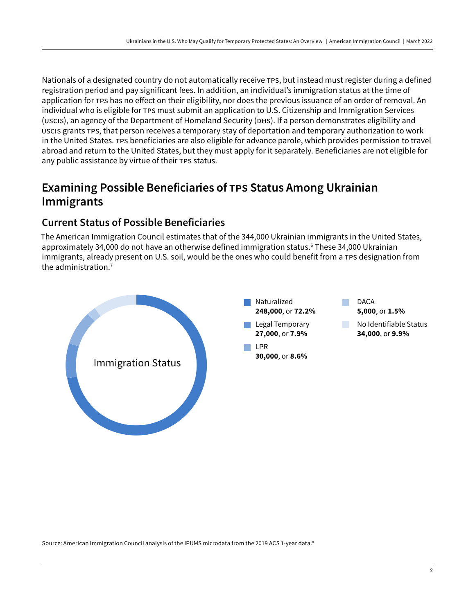Nationals of a designated country do not automatically receive TPS, but instead must register during a defined registration period and pay significant fees. In addition, an individual's immigration status at the time of application for TPS has no effect on their eligibility, nor does the previous issuance of an order of removal. An individual who is eligible for TPS must submit an application to U.S. Citizenship and Immigration Services (USCIS), an agency of the Department of Homeland Security (DHS). If a person demonstrates eligibility and USCIS grants TPS, that person receives a temporary stay of deportation and temporary authorization to work in the United States. TPS beneficiaries are also eligible for advance parole, which provides permission to travel abroad and return to the United States, but they must apply for it separately. Beneficiaries are not eligible for any public assistance by virtue of their TPS status.

# Examining Possible Beneficiaries of TPS Status Among Ukrainian Immigrants

### **Current Status of Possible Beneficiaries**

The American Immigration Council estimates that of the 344,000 Ukrainian immigrants in the United States, approximately 34,000 do not have an otherwise defined immigration status.<sup>6</sup> These 34,000 Ukrainian immigrants, already present on U.S. soil, would be the ones who could benefit from a TPS designation from the administration.7



Source: American Immigration Council analysis of the IPUMS microdata from the 2019 ACS 1-year data.<sup>8</sup>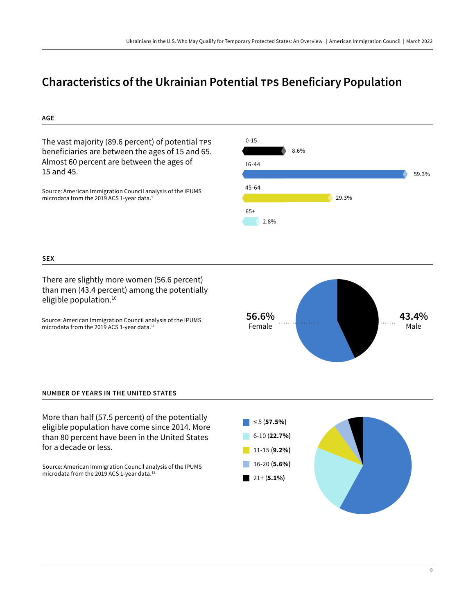## Characteristics of the Ukrainian Potential TPS Beneficiary Population



Source: American Immigration Council analysis of the IPUMS microdata from the 2019 ACS 1-year data.12

11-15 (**9.2%)** 16-20 (**5.6%)** 21+ (**5.1%)**

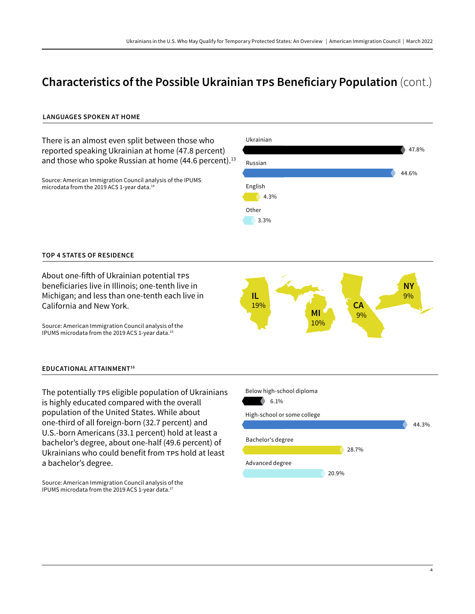# Characteristics of the Possible Ukrainian TPS Beneficiary Population (cont.)

#### **LANGUAGES SPOKEN AT HOME**



The potentially TPS eligible population of Ukrainians is highly educated compared with the overall population of the United States. While about one-third of all foreign-born (32.7 percent) and U.S.-born Americans (33.1 percent) hold at least a bachelor's degree, about one-half (49.6 percent) of Ukrainians who could benefit from TPS hold at least a bachelor's degree.

Source: American Immigration Council analysis of the IPUMS microdata from the 2019 ACS 1-year data.17

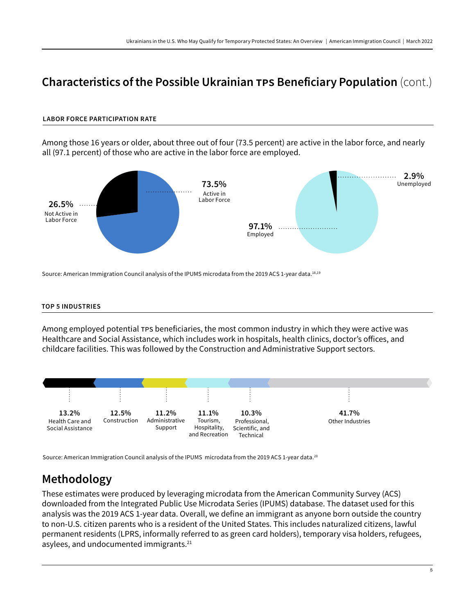## Characteristics of the Possible Ukrainian TPS Beneficiary Population (cont.)

#### **LABOR FORCE PARTICIPATION RATE**

Among those 16 years or older, about three out of four (73.5 percent) are active in the labor force, and nearly all (97.1 percent) of those who are active in the labor force are employed.



#### **TOP 5 INDUSTRIES**

Among employed potential TPS beneficiaries, the most common industry in which they were active was Healthcare and Social Assistance, which includes work in hospitals, health clinics, doctor's offices, and childcare facilities. This was followed by the Construction and Administrative Support sectors.



Source: American Immigration Council analysis of the IPUMS microdata from the 2019 ACS 1-year data.<sup>20</sup>

### Methodology

These estimates were produced by leveraging microdata from the American Community Survey (ACS) downloaded from the Integrated Public Use Microdata Series (IPUMS) database. The dataset used for this analysis was the 2019 ACS 1-year data. Overall, we define an immigrant as anyone born outside the country to non-U.S. citizen parents who is a resident of the United States. This includes naturalized citizens, lawful permanent residents (LPRS, informally referred to as green card holders), temporary visa holders, refugees, asylees, and undocumented immigrants.<sup>21</sup>